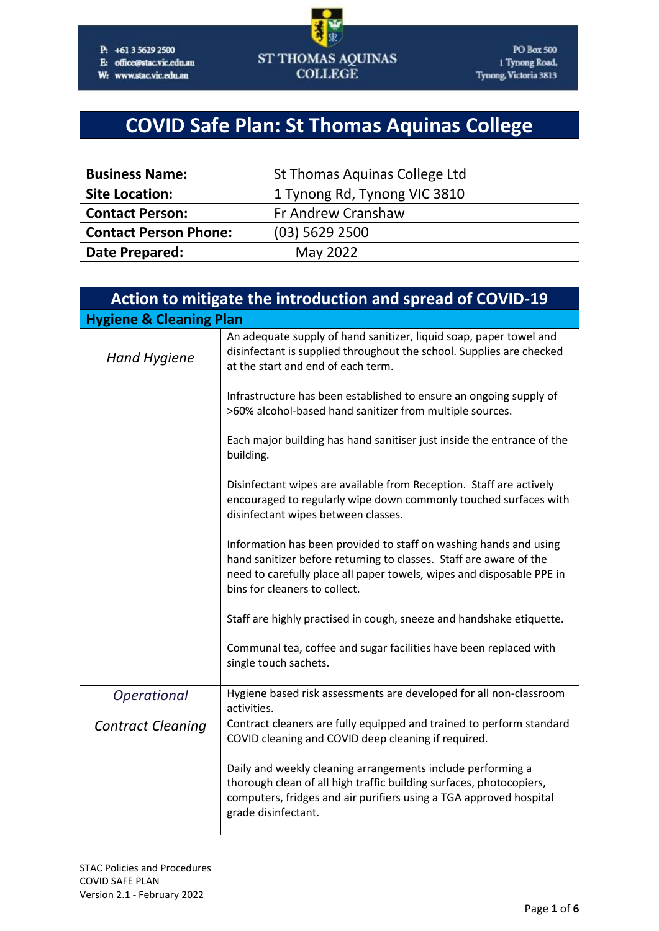#### P: +61 3 5629 2500

E: office@stac.vic.edu.au

W: www.stac.vic.edu.au



# **COVID Safe Plan: St Thomas Aquinas College**

| <b>Business Name:</b>        | St Thomas Aquinas College Ltd |  |
|------------------------------|-------------------------------|--|
| <b>Site Location:</b>        | 1 Tynong Rd, Tynong VIC 3810  |  |
| <b>Contact Person:</b>       | Fr Andrew Cranshaw            |  |
| <b>Contact Person Phone:</b> | $(03)$ 5629 2500              |  |
| <b>Date Prepared:</b>        | May 2022                      |  |

| Action to mitigate the introduction and spread of COVID-19 |                                                                                                                                                                                                                                                   |  |  |
|------------------------------------------------------------|---------------------------------------------------------------------------------------------------------------------------------------------------------------------------------------------------------------------------------------------------|--|--|
| <b>Hygiene &amp; Cleaning Plan</b>                         |                                                                                                                                                                                                                                                   |  |  |
| <b>Hand Hygiene</b>                                        | An adequate supply of hand sanitizer, liquid soap, paper towel and<br>disinfectant is supplied throughout the school. Supplies are checked<br>at the start and end of each term.                                                                  |  |  |
|                                                            | Infrastructure has been established to ensure an ongoing supply of<br>>60% alcohol-based hand sanitizer from multiple sources.                                                                                                                    |  |  |
|                                                            | Each major building has hand sanitiser just inside the entrance of the<br>building.                                                                                                                                                               |  |  |
|                                                            | Disinfectant wipes are available from Reception. Staff are actively<br>encouraged to regularly wipe down commonly touched surfaces with<br>disinfectant wipes between classes.                                                                    |  |  |
|                                                            | Information has been provided to staff on washing hands and using<br>hand sanitizer before returning to classes. Staff are aware of the<br>need to carefully place all paper towels, wipes and disposable PPE in<br>bins for cleaners to collect. |  |  |
|                                                            | Staff are highly practised in cough, sneeze and handshake etiquette.                                                                                                                                                                              |  |  |
|                                                            | Communal tea, coffee and sugar facilities have been replaced with<br>single touch sachets.                                                                                                                                                        |  |  |
| Operational                                                | Hygiene based risk assessments are developed for all non-classroom<br>activities.                                                                                                                                                                 |  |  |
| <b>Contract Cleaning</b>                                   | Contract cleaners are fully equipped and trained to perform standard<br>COVID cleaning and COVID deep cleaning if required.                                                                                                                       |  |  |
|                                                            | Daily and weekly cleaning arrangements include performing a<br>thorough clean of all high traffic building surfaces, photocopiers,<br>computers, fridges and air purifiers using a TGA approved hospital<br>grade disinfectant.                   |  |  |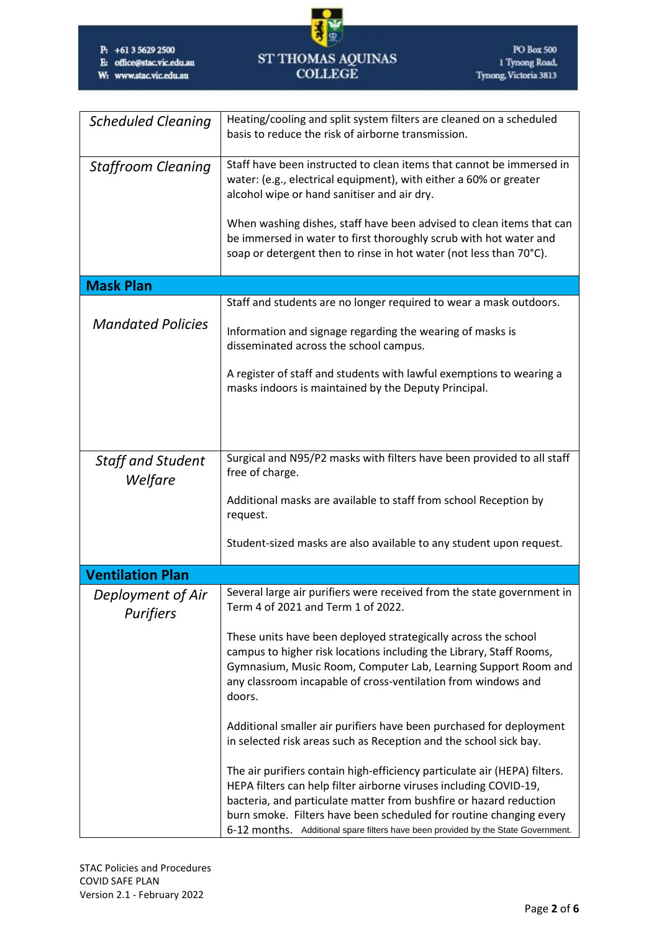- E: office@stac.vic.edu.au
- W: www.stac.vic.edu.au



| <b>Scheduled Cleaning</b>             | Heating/cooling and split system filters are cleaned on a scheduled<br>basis to reduce the risk of airborne transmission.                                                                                                                                                                                                                                                                                   |  |  |
|---------------------------------------|-------------------------------------------------------------------------------------------------------------------------------------------------------------------------------------------------------------------------------------------------------------------------------------------------------------------------------------------------------------------------------------------------------------|--|--|
| <b>Staffroom Cleaning</b>             | Staff have been instructed to clean items that cannot be immersed in<br>water: (e.g., electrical equipment), with either a 60% or greater<br>alcohol wipe or hand sanitiser and air dry.<br>When washing dishes, staff have been advised to clean items that can<br>be immersed in water to first thoroughly scrub with hot water and<br>soap or detergent then to rinse in hot water (not less than 70°C). |  |  |
| <b>Mask Plan</b>                      |                                                                                                                                                                                                                                                                                                                                                                                                             |  |  |
| <b>Mandated Policies</b>              | Staff and students are no longer required to wear a mask outdoors.<br>Information and signage regarding the wearing of masks is<br>disseminated across the school campus.                                                                                                                                                                                                                                   |  |  |
|                                       | A register of staff and students with lawful exemptions to wearing a<br>masks indoors is maintained by the Deputy Principal.                                                                                                                                                                                                                                                                                |  |  |
| Staff and Student<br>Welfare          | Surgical and N95/P2 masks with filters have been provided to all staff<br>free of charge.                                                                                                                                                                                                                                                                                                                   |  |  |
|                                       | Additional masks are available to staff from school Reception by<br>request.                                                                                                                                                                                                                                                                                                                                |  |  |
|                                       | Student-sized masks are also available to any student upon request.                                                                                                                                                                                                                                                                                                                                         |  |  |
| <b>Ventilation Plan</b>               |                                                                                                                                                                                                                                                                                                                                                                                                             |  |  |
| Deployment of Air<br><b>Purifiers</b> | Several large air purifiers were received from the state government in<br>Term 4 of 2021 and Term 1 of 2022.                                                                                                                                                                                                                                                                                                |  |  |
|                                       | These units have been deployed strategically across the school<br>campus to higher risk locations including the Library, Staff Rooms,<br>Gymnasium, Music Room, Computer Lab, Learning Support Room and<br>any classroom incapable of cross-ventilation from windows and<br>doors.                                                                                                                          |  |  |
|                                       | Additional smaller air purifiers have been purchased for deployment<br>in selected risk areas such as Reception and the school sick bay.                                                                                                                                                                                                                                                                    |  |  |
|                                       | The air purifiers contain high-efficiency particulate air (HEPA) filters.<br>HEPA filters can help filter airborne viruses including COVID-19,<br>bacteria, and particulate matter from bushfire or hazard reduction<br>burn smoke. Filters have been scheduled for routine changing every<br>6-12 months. Additional spare filters have been provided by the State Government.                             |  |  |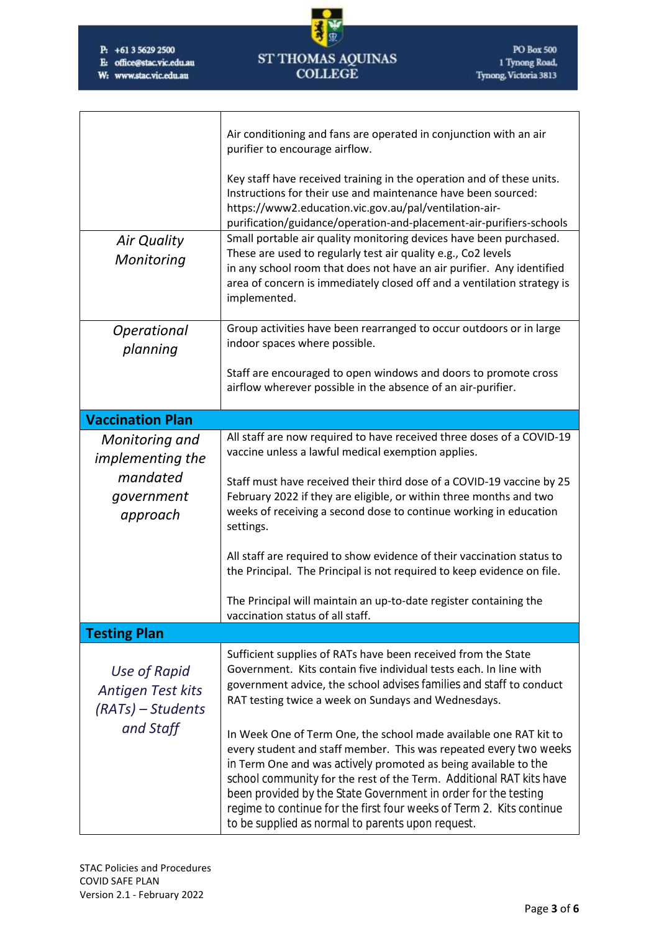E: office@stac.vic.edu.au

W: www.stac.vic.edu.au



| <b>Air Quality</b><br>Monitoring                                                | Air conditioning and fans are operated in conjunction with an air<br>purifier to encourage airflow.<br>Key staff have received training in the operation and of these units.<br>Instructions for their use and maintenance have been sourced:<br>https://www2.education.vic.gov.au/pal/ventilation-air-<br>purification/guidance/operation-and-placement-air-purifiers-schools<br>Small portable air quality monitoring devices have been purchased.<br>These are used to regularly test air quality e.g., Co2 levels<br>in any school room that does not have an air purifier. Any identified<br>area of concern is immediately closed off and a ventilation strategy is<br>implemented. |  |
|---------------------------------------------------------------------------------|-------------------------------------------------------------------------------------------------------------------------------------------------------------------------------------------------------------------------------------------------------------------------------------------------------------------------------------------------------------------------------------------------------------------------------------------------------------------------------------------------------------------------------------------------------------------------------------------------------------------------------------------------------------------------------------------|--|
| Operational<br>planning                                                         | Group activities have been rearranged to occur outdoors or in large<br>indoor spaces where possible.                                                                                                                                                                                                                                                                                                                                                                                                                                                                                                                                                                                      |  |
|                                                                                 | Staff are encouraged to open windows and doors to promote cross<br>airflow wherever possible in the absence of an air-purifier.                                                                                                                                                                                                                                                                                                                                                                                                                                                                                                                                                           |  |
| <b>Vaccination Plan</b>                                                         |                                                                                                                                                                                                                                                                                                                                                                                                                                                                                                                                                                                                                                                                                           |  |
| Monitoring and<br><i>implementing the</i><br>mandated<br>government<br>approach | All staff are now required to have received three doses of a COVID-19<br>vaccine unless a lawful medical exemption applies.<br>Staff must have received their third dose of a COVID-19 vaccine by 25<br>February 2022 if they are eligible, or within three months and two<br>weeks of receiving a second dose to continue working in education<br>settings.                                                                                                                                                                                                                                                                                                                              |  |
|                                                                                 | All staff are required to show evidence of their vaccination status to<br>the Principal. The Principal is not required to keep evidence on file.<br>The Principal will maintain an up-to-date register containing the                                                                                                                                                                                                                                                                                                                                                                                                                                                                     |  |
|                                                                                 | vaccination status of all staff.                                                                                                                                                                                                                                                                                                                                                                                                                                                                                                                                                                                                                                                          |  |
| <b>Testing Plan</b>                                                             |                                                                                                                                                                                                                                                                                                                                                                                                                                                                                                                                                                                                                                                                                           |  |
| Use of Rapid<br>Antigen Test kits<br>(RATs) – Students<br>and Staff             | Sufficient supplies of RATs have been received from the State<br>Government. Kits contain five individual tests each. In line with<br>government advice, the school advises families and staff to conduct<br>RAT testing twice a week on Sundays and Wednesdays.                                                                                                                                                                                                                                                                                                                                                                                                                          |  |
|                                                                                 | In Week One of Term One, the school made available one RAT kit to<br>every student and staff member. This was repeated every two weeks<br>in Term One and was actively promoted as being available to the<br>school community for the rest of the Term. Additional RAT kits have<br>been provided by the State Government in order for the testing<br>regime to continue for the first four weeks of Term 2. Kits continue<br>to be supplied as normal to parents upon request.                                                                                                                                                                                                           |  |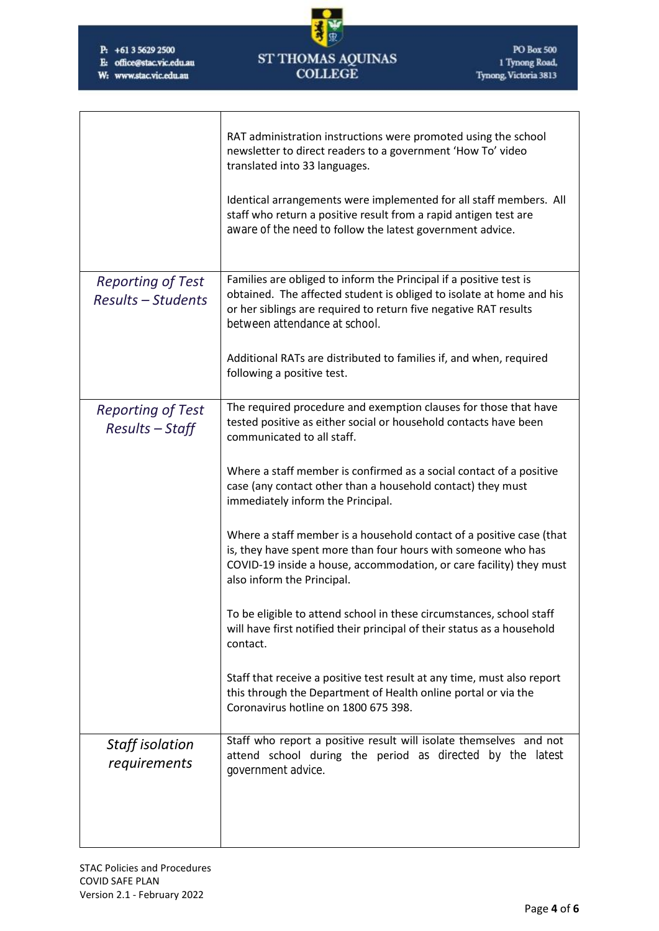$\overline{\Gamma}$ 

E: office@stac.vic.edu.au

Τ

W: www.stac.vic.edu.au



|                                                       | RAT administration instructions were promoted using the school<br>newsletter to direct readers to a government 'How To' video<br>translated into 33 languages.                                                                                  |  |
|-------------------------------------------------------|-------------------------------------------------------------------------------------------------------------------------------------------------------------------------------------------------------------------------------------------------|--|
|                                                       | Identical arrangements were implemented for all staff members. All<br>staff who return a positive result from a rapid antigen test are<br>aware of the need to follow the latest government advice.                                             |  |
| <b>Reporting of Test</b><br><b>Results - Students</b> | Families are obliged to inform the Principal if a positive test is<br>obtained. The affected student is obliged to isolate at home and his<br>or her siblings are required to return five negative RAT results<br>between attendance at school. |  |
|                                                       | Additional RATs are distributed to families if, and when, required<br>following a positive test.                                                                                                                                                |  |
| <b>Reporting of Test</b><br>Results - Staff           | The required procedure and exemption clauses for those that have<br>tested positive as either social or household contacts have been<br>communicated to all staff.                                                                              |  |
|                                                       | Where a staff member is confirmed as a social contact of a positive<br>case (any contact other than a household contact) they must<br>immediately inform the Principal.                                                                         |  |
|                                                       | Where a staff member is a household contact of a positive case (that<br>is, they have spent more than four hours with someone who has<br>COVID-19 inside a house, accommodation, or care facility) they must<br>also inform the Principal.      |  |
|                                                       | To be eligible to attend school in these circumstances, school staff<br>will have first notified their principal of their status as a household<br>contact.                                                                                     |  |
|                                                       | Staff that receive a positive test result at any time, must also report<br>this through the Department of Health online portal or via the<br>Coronavirus hotline on 1800 675 398.                                                               |  |
| Staff isolation<br>requirements                       | Staff who report a positive result will isolate themselves and not<br>attend school during the period as directed by the latest<br>government advice.                                                                                           |  |
|                                                       |                                                                                                                                                                                                                                                 |  |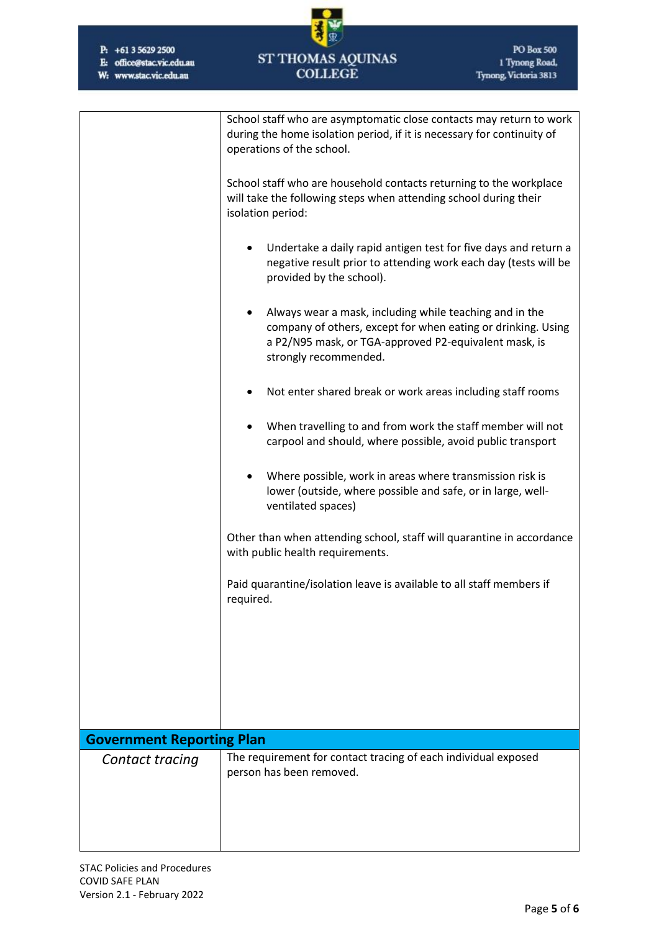E: office@stac.vic.edu.au

W: www.stac.vic.edu.au



|                                  | School staff who are asymptomatic close contacts may return to work<br>during the home isolation period, if it is necessary for continuity of                                                                          |  |  |  |
|----------------------------------|------------------------------------------------------------------------------------------------------------------------------------------------------------------------------------------------------------------------|--|--|--|
|                                  | operations of the school.                                                                                                                                                                                              |  |  |  |
|                                  | School staff who are household contacts returning to the workplace<br>will take the following steps when attending school during their<br>isolation period:                                                            |  |  |  |
|                                  | Undertake a daily rapid antigen test for five days and return a<br>negative result prior to attending work each day (tests will be<br>provided by the school).                                                         |  |  |  |
|                                  | Always wear a mask, including while teaching and in the<br>$\bullet$<br>company of others, except for when eating or drinking. Using<br>a P2/N95 mask, or TGA-approved P2-equivalent mask, is<br>strongly recommended. |  |  |  |
|                                  | Not enter shared break or work areas including staff rooms                                                                                                                                                             |  |  |  |
|                                  | When travelling to and from work the staff member will not<br>carpool and should, where possible, avoid public transport                                                                                               |  |  |  |
|                                  | Where possible, work in areas where transmission risk is<br>lower (outside, where possible and safe, or in large, well-<br>ventilated spaces)                                                                          |  |  |  |
|                                  | Other than when attending school, staff will quarantine in accordance<br>with public health requirements.                                                                                                              |  |  |  |
|                                  | Paid quarantine/isolation leave is available to all staff members if<br>required.                                                                                                                                      |  |  |  |
|                                  |                                                                                                                                                                                                                        |  |  |  |
|                                  |                                                                                                                                                                                                                        |  |  |  |
| <b>Government Reporting Plan</b> |                                                                                                                                                                                                                        |  |  |  |
| Contact tracing                  | The requirement for contact tracing of each individual exposed                                                                                                                                                         |  |  |  |
|                                  | person has been removed.                                                                                                                                                                                               |  |  |  |
|                                  |                                                                                                                                                                                                                        |  |  |  |
|                                  |                                                                                                                                                                                                                        |  |  |  |
|                                  |                                                                                                                                                                                                                        |  |  |  |